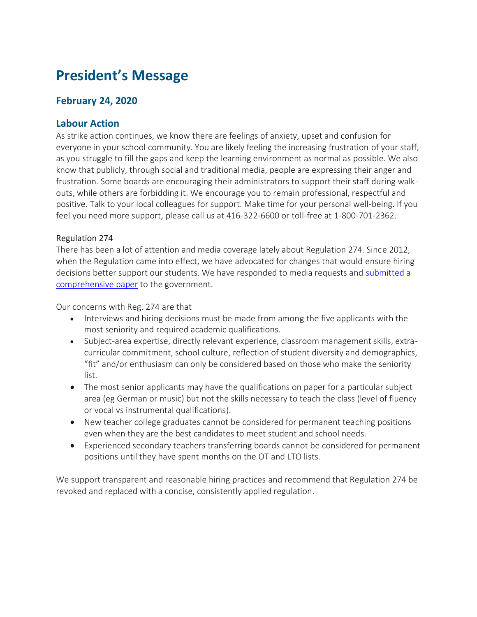# **President's Message**

## **February 24, 2020**

#### **Labour Action**

As strike action continues, we know there are feelings of anxiety, upset and confusion for everyone in your school community. You are likely feeling the increasing frustration of your staff, as you struggle to fill the gaps and keep the learning environment as normal as possible. We also know that publicly, through social and traditional media, people are expressing their anger and frustration. Some boards are encouraging their administrators to support their staff during walkouts, while others are forbidding it. We encourage you to remain professional, respectful and positive. Talk to your local colleagues for support. Make time for your personal well-being. If you feel you need more support, please call us at 416-322-6600 or toll-free at 1-800-701-2362.

#### Regulation 274

There has been a lot of attention and media coverage lately about Regulation 274. Since 2012, when the Regulation came into effect, we have advocated for changes that would ensure hiring decisions better support our students. We have responded to media requests and [submitted a](https://www.principals.ca/en/professional-learning/resources/protected/Hiring-Practices-Feb-19.pdf)  [comprehensive paper](https://www.principals.ca/en/professional-learning/resources/protected/Hiring-Practices-Feb-19.pdf) to the government.

Our concerns with Reg. 274 are that

- Interviews and hiring decisions must be made from among the five applicants with the most seniority and required academic qualifications.
- Subject-area expertise, directly relevant experience, classroom management skills, extracurricular commitment, school culture, reflection of student diversity and demographics, "fit" and/or enthusiasm can only be considered based on those who make the seniority list.
- The most senior applicants may have the qualifications on paper for a particular subject area (eg German or music) but not the skills necessary to teach the class (level of fluency or vocal vs instrumental qualifications).
- New teacher college graduates cannot be considered for permanent teaching positions even when they are the best candidates to meet student and school needs.
- Experienced secondary teachers transferring boards cannot be considered for permanent positions until they have spent months on the OT and LTO lists.

We support transparent and reasonable hiring practices and recommend that Regulation 274 be revoked and replaced with a concise, consistently applied regulation.